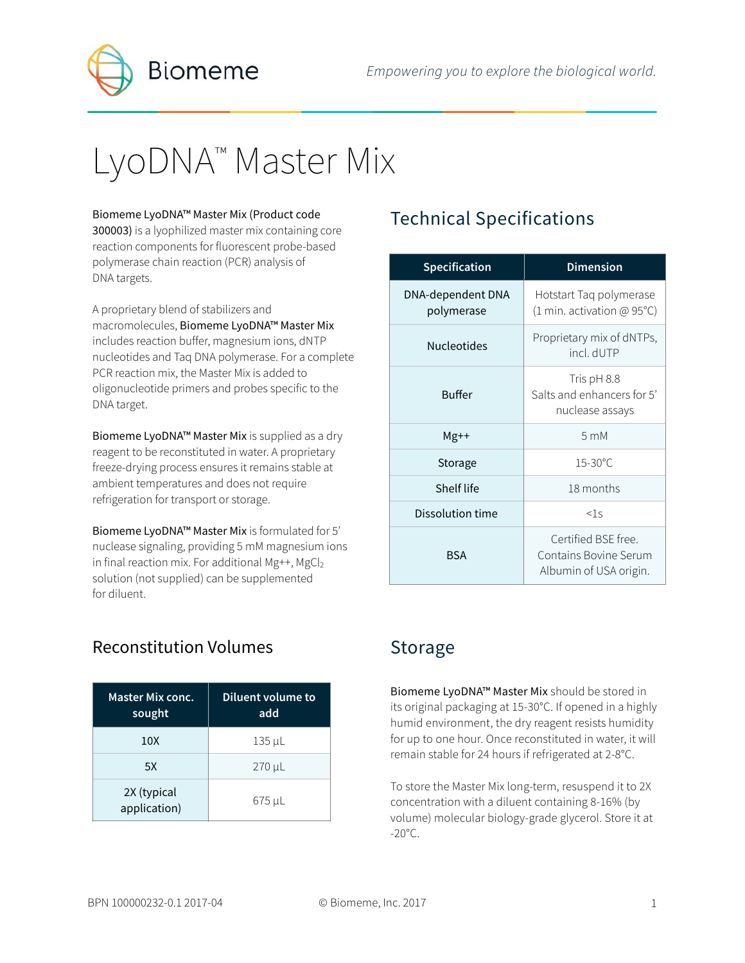

# LyoDNA<sup>™</sup> Master Mix

#### Biomeme LyoDNA™ Master Mix (Product code

300003) is a lyophilized master mix containing core reaction components for fluorescent probe-based polymerase chain reaction (PCR) analysis of DNA targets.

A proprietary blend of stabilizers and macromolecules, Biomeme LyoDNA™ Master Mix includes reaction buffer, magnesium ions, dNTP nucleotides and Taq DNA polymerase. For a complete PCR reaction mix, the Master Mix is added to oligonucleotide primers and probes specific to the DNA target.

Biomeme LyoDNA™ Master Mix is supplied as a dry reagent to be reconstituted in water. A proprietary freeze-drying process ensures it remains stable at ambient temperatures and does not require refrigeration for transport or storage.

Biomeme LyoDNA™ Master Mix is formulated for 5' nuclease signaling, providing 5 mM magnesium ions in final reaction mix. For additional Mg++, MgCl<sub>2</sub> solution (not supplied) can be supplemented for diluent.

#### Reconstitution Volumes

| <b>Master Mix conc.</b><br>sought | Diluent volume to<br>add |
|-----------------------------------|--------------------------|
| 10X                               | 135 µL                   |
| 5X                                | 270 µL                   |
| 2X (typical<br>application)       | 675 µL                   |

# Technical Specifications

| <b>Specification</b>            | <b>Dimension</b>                                                       |  |
|---------------------------------|------------------------------------------------------------------------|--|
| DNA-dependent DNA<br>polymerase | Hotstart Taq polymerase<br>(1 min. activation @ 95°C)                  |  |
| <b>Nucleotides</b>              | Proprietary mix of dNTPs,<br>incl. dUTP                                |  |
| <b>Buffer</b>                   | Tris pH 8.8<br>Salts and enhancers for 5'<br>nuclease assays           |  |
| $Mg++$                          | $5 \text{ mM}$                                                         |  |
| Storage                         | $15 - 30^{\circ}$ C                                                    |  |
| Shelf life                      | 18 months                                                              |  |
| Dissolution time                | $<$ 1s                                                                 |  |
| <b>BSA</b>                      | Certified BSE free.<br>Contains Bovine Serum<br>Albumin of USA origin. |  |

#### Storage

Biomeme LyoDNA™ Master Mix should be stored in its original packaging at 15-30°C. If opened in a highly humid environment, the dry reagent resists humidity for up to one hour. Once reconstituted in water, it will remain stable for 24 hours if refrigerated at 2-8°C.

To store the Master Mix long-term, resuspend it to 2X concentration with a diluent containing 8-16% (by volume) molecular biology-grade glycerol. Store it at  $-20^{\circ}$ C.